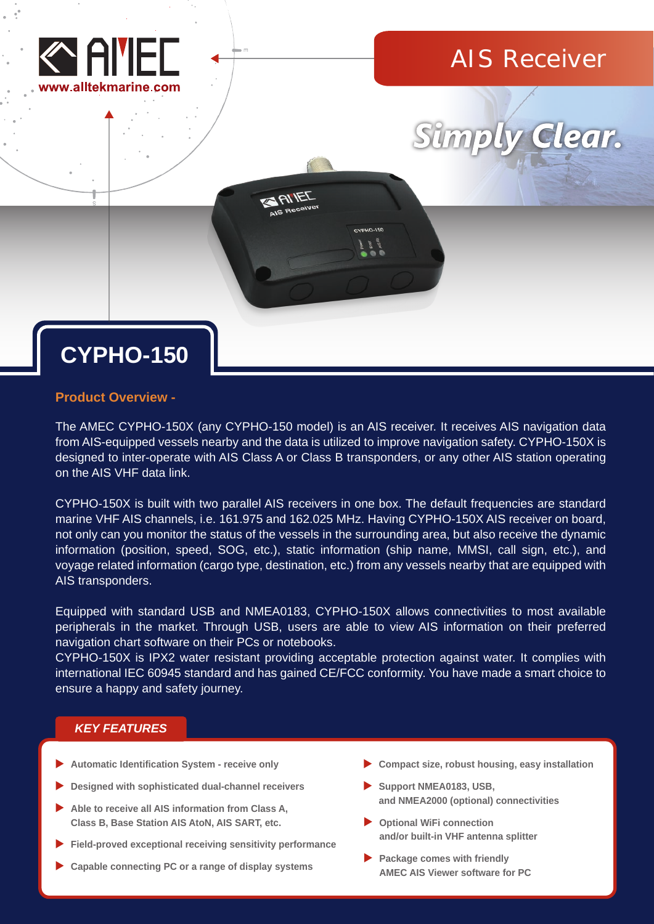

## AIS Receiver



# **CYPHO-150**

### **Product Overview -**

The AMEC CYPHO-150X (any CYPHO-150 model) is an AIS receiver. It receives AIS navigation data from AIS-equipped vessels nearby and the data is utilized to improve navigation safety. CYPHO-150X is designed to inter-operate with AIS Class A or Class B transponders, or any other AIS station operating on the AIS VHF data link.

ANIEL

CYPHO-150X is built with two parallel AIS receivers in one box. The default frequencies are standard marine VHF AIS channels, i.e. 161.975 and 162.025 MHz. Having CYPHO-150X AIS receiver on board, not only can you monitor the status of the vessels in the surrounding area, but also receive the dynamic information (position, speed, SOG, etc.), static information (ship name, MMSI, call sign, etc.), and voyage related information (cargo type, destination, etc.) from any vessels nearby that are equipped with AIS transponders.

Equipped with standard USB and NMEA0183, CYPHO-150X allows connectivities to most available peripherals in the market. Through USB, users are able to view AIS information on their preferred navigation chart software on their PCs or notebooks.

CYPHO-150X is IPX2 water resistant providing acceptable protection against water. It complies with international IEC 60945 standard and has gained CE/FCC conformity. You have made a smart choice to ensure a happy and safety journey.

### *KEY FEATURES*

- **Automatic Identification System receive only**
- **Designed with sophisticated dual-channel receivers**
- **Able to receive all AIS information from Class A, Class B, Base Station AIS AtoN, AIS SART, etc.**
- **Field-proved exceptional receiving sensitivity performance**
- **Capable connecting PC or a range of display systems**
- **Compact size, robust housing, easy installation**
- **Support NMEA0183, USB, and NMEA2000 (optional) connectivities**
- **Optional WiFi connection and/or built-in VHF antenna splitter**
- **Package comes with friendly AMEC AIS Viewer software for PC**